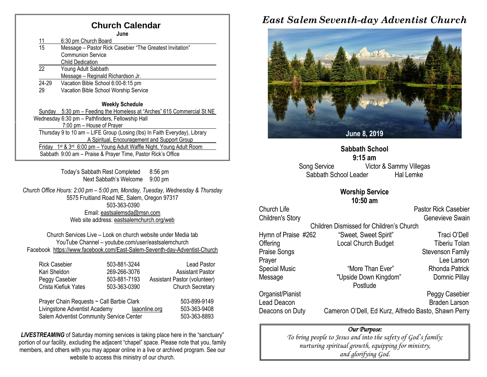### **Church Calendar**

| June                                                         |                                                                                        |  |  |  |  |
|--------------------------------------------------------------|----------------------------------------------------------------------------------------|--|--|--|--|
| <u> 11</u>                                                   | 6:30 pm Church Board                                                                   |  |  |  |  |
| $\overline{15}$                                              | Message - Pastor Rick Casebier "The Greatest Invitation"                               |  |  |  |  |
|                                                              | <b>Communion Service</b>                                                               |  |  |  |  |
|                                                              | <b>Child Dedication</b>                                                                |  |  |  |  |
| 22                                                           | Young Adult Sabbath                                                                    |  |  |  |  |
|                                                              | Message - Reginald Richardson Jr.                                                      |  |  |  |  |
| 24-29                                                        | Vacation Bible School 6:00-8:15 pm                                                     |  |  |  |  |
| 29                                                           | Vacation Bible School Worship Service                                                  |  |  |  |  |
|                                                              |                                                                                        |  |  |  |  |
|                                                              | <b>Weekly Schedule</b>                                                                 |  |  |  |  |
| Sundav                                                       | 5:30 pm - Feeding the Homeless at "Arches" 615 Commercial St NE                        |  |  |  |  |
|                                                              | Wednesday 6:30 pm - Pathfinders, Fellowship Hall                                       |  |  |  |  |
|                                                              | 7:00 pm - House of Prayer                                                              |  |  |  |  |
|                                                              | Thursday 9 to 10 am - LIFE Group (Losing (lbs) In Faith Everyday), Library             |  |  |  |  |
|                                                              | A Spiritual, Encouragement and Support Group                                           |  |  |  |  |
| Fridav                                                       | 1 <sup>st</sup> & 3 <sup>rd</sup> 6:00 pm – Young Adult Waffle Night, Young Adult Room |  |  |  |  |
| Sabbath 9:00 am - Praise & Prayer Time, Pastor Rick's Office |                                                                                        |  |  |  |  |
|                                                              |                                                                                        |  |  |  |  |

Today's Sabbath Rest Completed 8:56 pm Next Sabbath's Welcome 9:00 pm

*Church Office Hours: 2:00 pm – 5:00 pm, Monday, Tuesday, Wednesday & Thursday* 5575 Fruitland Road NE, Salem, Oregon 97317 503-363-0390 Email: [eastsalemsda@msn.com](mailto:eastsalemsda@msn.com) Web site address[: eastsalemchurch.org/w](http://eastsalem.adventists.info/)eb

Church Services Live – Look on church website under Media tab YouTube Channel – youtube.com/user/eastsalemchurch Facebook [https://www.facebook.com/East-Salem-Seventh-day-Adventist-Church](https://www.facebook.com/East-Salem-Seventh-day-Adventist-Church-111402832212994/?fref=ts)

| <b>Rick Casebier</b>                                                       | 503-881-3244 | <b>Lead Pastor</b>                            |
|----------------------------------------------------------------------------|--------------|-----------------------------------------------|
| Kari Sheldon                                                               | 269-266-3076 | <b>Assistant Pastor</b>                       |
| Peggy Casebier                                                             | 503-881-7193 | Assistant Pastor (volunteer)                  |
| Crista Kiefiuk Yates                                                       | 503-363-0390 | <b>Church Secretary</b>                       |
| Prayer Chain Requests ~ Call Barbie Clark<br>Livingstone Adventist Academy |              | 503-899-9149<br>503-363-9408<br>laaonline.org |

Salem Adventist Community Service Center 503-363-8893

**LIVESTREAMING** of Saturday morning services is taking place here in the "sanctuary" portion of our facility, excluding the adjacent "chapel" space. Please note that you, family members, and others with you may appear online in a live or archived program. See our website to access this ministry of our church.

## *East Salem Seventh-day Adventist Church*



**Sabbath School 9:15 am** Song Service Victor & Sammy Villegas Sabbath School Leader Hal Lemke

#### **Worship Service 10:50 am**

Church Life **Church Life** Pastor Rick Casebier Children's Story **Genevieve Swain** Children Dismissed for Children's Church Hymn of Praise #262 "Sweet, Sweet Spirit" Traci O'Dell Offering Contact Local Church Budget Tiberiu Tolan Praise Songs **Stevenson Family** Stevenson Family Prayer **Lee Larson** Special Music "Wore Than Ever" Rhonda Patrick Message "Upside Down Kingdom" Domnic Pillay **Postlude** Organist/Pianist Peggy Casebier Lead Deacon **Braden Larson** Deacons on Duty Cameron O'Dell, Ed Kurz, Alfredo Basto, Shawn Perry

### *Our Purpose:*

*To bring people to Jesus and into the safety of God's family; nurturing spiritual growth, equipping for ministry, and glorifying God.*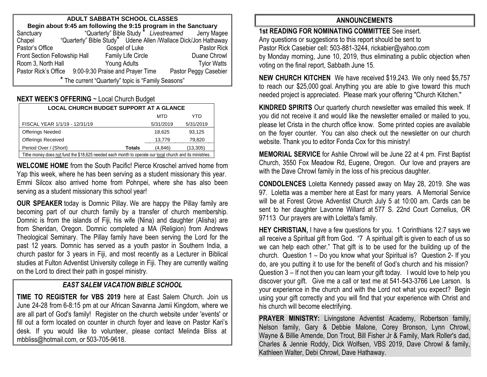| <b>ADULT SABBATH SCHOOL CLASSES</b>                                                                                                 |                                                                 |                           |  |                       |  |  |  |  |
|-------------------------------------------------------------------------------------------------------------------------------------|-----------------------------------------------------------------|---------------------------|--|-----------------------|--|--|--|--|
| <b>Begin about 9:45 am following the 9:15 program in the Sanctuary</b><br>ctuary "Quarterly" Bible Study " Livestreamed Jerry Magee |                                                                 |                           |  |                       |  |  |  |  |
| Sanctuary                                                                                                                           |                                                                 |                           |  |                       |  |  |  |  |
| Chapel                                                                                                                              | "Quarterly" Bible Study* Udene Allen /Wallace Dick/Jon Hathaway |                           |  |                       |  |  |  |  |
| Pastor's Office                                                                                                                     |                                                                 | Gospel of Luke            |  | Pastor Rick           |  |  |  |  |
| Front Section Fellowship Hall                                                                                                       |                                                                 | <b>Family Life Circle</b> |  | Duane Chrowl          |  |  |  |  |
| Room 3, North Hall                                                                                                                  |                                                                 | <b>Young Adults</b>       |  | <b>Tylor Watts</b>    |  |  |  |  |
|                                                                                                                                     | Pastor Rick's Office 9:00-9:30 Praise and Prayer Time           |                           |  | Pastor Peggy Casebier |  |  |  |  |
| * The current "Quarterly" topic is "Family Seasons"                                                                                 |                                                                 |                           |  |                       |  |  |  |  |

### **NEXT WEEK'S OFFERING** ~ Local Church Budget

| <b>LOCAL CHURCH BUDGET SUPPORT AT A GLANCE</b>                                                           |               |           |           |  |  |  |
|----------------------------------------------------------------------------------------------------------|---------------|-----------|-----------|--|--|--|
|                                                                                                          |               | MTD       | YTD       |  |  |  |
| FISCAL YEAR 1/1/19 - 12/31/19                                                                            |               | 5/31/2019 | 5/31/2019 |  |  |  |
| <b>Offerings Needed</b>                                                                                  |               | 18,625    | 93.125    |  |  |  |
| <b>Offerings Received</b>                                                                                |               | 13,779    | 79,820    |  |  |  |
| Period Over / (Short)                                                                                    | <b>Totals</b> | (4,846)   | (13, 305) |  |  |  |
| Tithe money does not fund the \$18,625 needed each month to operate our local church and its ministries. |               |           |           |  |  |  |

**WELCOME HOME** from the South Pacific! Pierce Kroschel arrived home from Yap this week, where he has been serving as a student missionary this year. Emmi Silcox also arrived home from Pohnpei, where she has also been serving as a student missionary this school year!

**OUR SPEAKER** today is Domnic Pillay. We are happy the Pillay family are becoming part of our church family by a transfer of church membership. Domnic is from the islands of Fiji, his wife (Nina) and daughter (Alisha) are from Sheridan, Oregon. Domnic completed a MA (Religion) from Andrews Theological Seminary. The Pillay family have been serving the Lord for the past 12 years. Domnic has served as a youth pastor in Southern India, a church pastor for 3 years in Fiji, and most recently as a Lecturer in Biblical studies at Fulton Adventist University college in Fiji. They are currently waiting on the Lord to direct their path in gospel ministry.

### *EAST SALEM VACATION BIBLE SCHOOL*

**TIME TO REGISTER for VBS 2019** here at East Salem Church. Join us June 24-28 from 6-8:15 pm at our African Savanna Jamii Kingdom, where we are all part of God's family! Register on the church website under 'events' or fill out a form located on counter in church foyer and leave on Pastor Kari's desk. If you would like to volunteer, please contact Melinda Bliss at [mbbliss@hotmail.com,](mailto:mbbliss@hotmail.com) o[r 503-705-9618.](mailto:503-705-9618)

### **ANNOUNCEMENTS**

**1st READING FOR NOMINATING COMMITTEE** See insert. Any questions or suggestions to this report should be sent to Pastor Rick Casebier cell: 503-881-3244, rickabier@yahoo.com by Monday morning, June 10, 2019, thus eliminating a public objection when voting on the final report, Sabbath June 15.

**NEW CHURCH KITCHEN** We have received \$19,243. We only need \$5,757 to reach our \$25,000 goal. Anything you are able to give toward this much needed project is appreciated. Please mark your offering "Church Kitchen."

**KINDRED SPIRITS** Our quarterly church newsletter was emailed this week. If you did not receive it and would like the newsletter emailed or mailed to you, please let Crista in the church office know. Some printed copies are available on the foyer counter. You can also check out the newsletter on our church website. Thank you to editor Fonda Cox for this ministry!

**MEMORIAL SERVICE** for Ashlie Chrowl will be June 22 at 4 pm. First Baptist Church, 3550 Fox Meadow Rd, Eugene, Oregon. Our love and prayers are with the Dave Chrowl family in the loss of his precious daughter.

**CONDOLENCES** Loletta Kennedy passed away on May 28, 2019. She was 97. Loletta was a member here at East for many years. A Memorial Service will be at Forest Grove Adventist Church July 5 at 10:00 am. Cards can be sent to her daughter Lavonne Willard at 577 S. 22nd Court Cornelius, OR 97113 Our prayers are with Loletta's family.

**HEY CHRISTIAN, I** have a few questions for you. 1 Corinthians 12:7 says we all receive a Spiritual gift from God. "7 A spiritual gift is given to each of us so we can help each other." That gift is to be used for the building up of the church. Question 1 – Do you know what your Spiritual is? Question 2- If you do, are you putting it to use for the benefit of God's church and his mission? Question 3 – If not then you can learn your gift today. I would love to help you discover your gift. Give me a call or text me at 541-543-3766 Lee Larson. Is your experience in the church and with the Lord not what you expect? Begin using your gift correctly and you will find that your experience with Christ and his church will become electrifying.

**PRAYER MINISTRY:** Livingstone Adventist Academy, Robertson family, Nelson family, Gary & Debbie Malone, Corey Bronson, Lynn Chrowl, Wayne & Billie Amende, Don Trout, Bill Fisher Jr & Family, Mark Roller's dad, Charles & Jennie Roddy, Dick Wolfsen, VBS 2019, Dave Chrowl & family, Kathleen Walter, Debi Chrowl, Dave Hathaway.